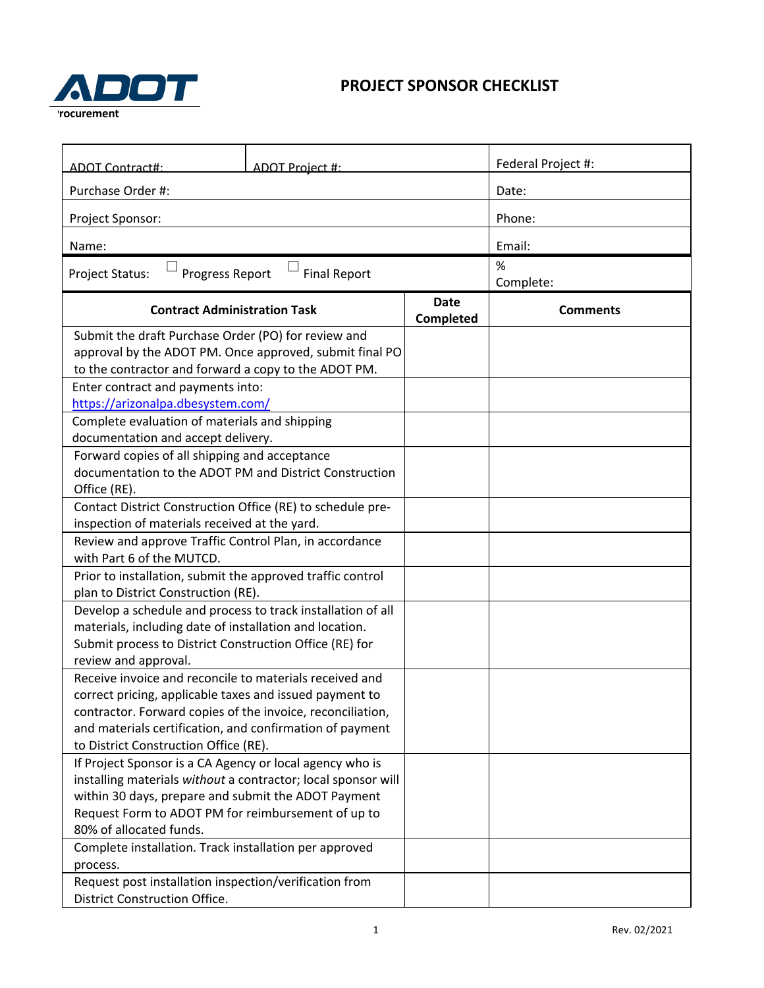## **PROJECT SPONSOR CHECKLIST**



| ADOT Contract#:                                                         | ADOT Project #: |                          | Federal Project #: |  |
|-------------------------------------------------------------------------|-----------------|--------------------------|--------------------|--|
| Purchase Order #:                                                       |                 |                          | Date:              |  |
| Project Sponsor:                                                        |                 |                          | Phone:             |  |
| Name:                                                                   |                 |                          | Email:             |  |
| <b>Progress Report</b><br><b>Project Status:</b><br><b>Final Report</b> |                 |                          | $\%$               |  |
|                                                                         |                 |                          | Complete:          |  |
| <b>Contract Administration Task</b>                                     |                 | <b>Date</b><br>Completed | <b>Comments</b>    |  |
| Submit the draft Purchase Order (PO) for review and                     |                 |                          |                    |  |
| approval by the ADOT PM. Once approved, submit final PO                 |                 |                          |                    |  |
| to the contractor and forward a copy to the ADOT PM.                    |                 |                          |                    |  |
| Enter contract and payments into:                                       |                 |                          |                    |  |
| https://arizonalpa.dbesystem.com/                                       |                 |                          |                    |  |
| Complete evaluation of materials and shipping                           |                 |                          |                    |  |
| documentation and accept delivery.                                      |                 |                          |                    |  |
| Forward copies of all shipping and acceptance                           |                 |                          |                    |  |
| documentation to the ADOT PM and District Construction                  |                 |                          |                    |  |
| Office (RE).                                                            |                 |                          |                    |  |
| Contact District Construction Office (RE) to schedule pre-              |                 |                          |                    |  |
| inspection of materials received at the yard.                           |                 |                          |                    |  |
| Review and approve Traffic Control Plan, in accordance                  |                 |                          |                    |  |
| with Part 6 of the MUTCD.                                               |                 |                          |                    |  |
| Prior to installation, submit the approved traffic control              |                 |                          |                    |  |
| plan to District Construction (RE).                                     |                 |                          |                    |  |
| Develop a schedule and process to track installation of all             |                 |                          |                    |  |
| materials, including date of installation and location.                 |                 |                          |                    |  |
| Submit process to District Construction Office (RE) for                 |                 |                          |                    |  |
| review and approval.                                                    |                 |                          |                    |  |
| Receive invoice and reconcile to materials received and                 |                 |                          |                    |  |
| correct pricing, applicable taxes and issued payment to                 |                 |                          |                    |  |
| contractor. Forward copies of the invoice, reconciliation,              |                 |                          |                    |  |
| and materials certification, and confirmation of payment                |                 |                          |                    |  |
| to District Construction Office (RE).                                   |                 |                          |                    |  |
| If Project Sponsor is a CA Agency or local agency who is                |                 |                          |                    |  |
| installing materials without a contractor; local sponsor will           |                 |                          |                    |  |
| within 30 days, prepare and submit the ADOT Payment                     |                 |                          |                    |  |
| Request Form to ADOT PM for reimbursement of up to                      |                 |                          |                    |  |
| 80% of allocated funds.                                                 |                 |                          |                    |  |
| Complete installation. Track installation per approved                  |                 |                          |                    |  |
| process.                                                                |                 |                          |                    |  |
| Request post installation inspection/verification from                  |                 |                          |                    |  |
| <b>District Construction Office.</b>                                    |                 |                          |                    |  |